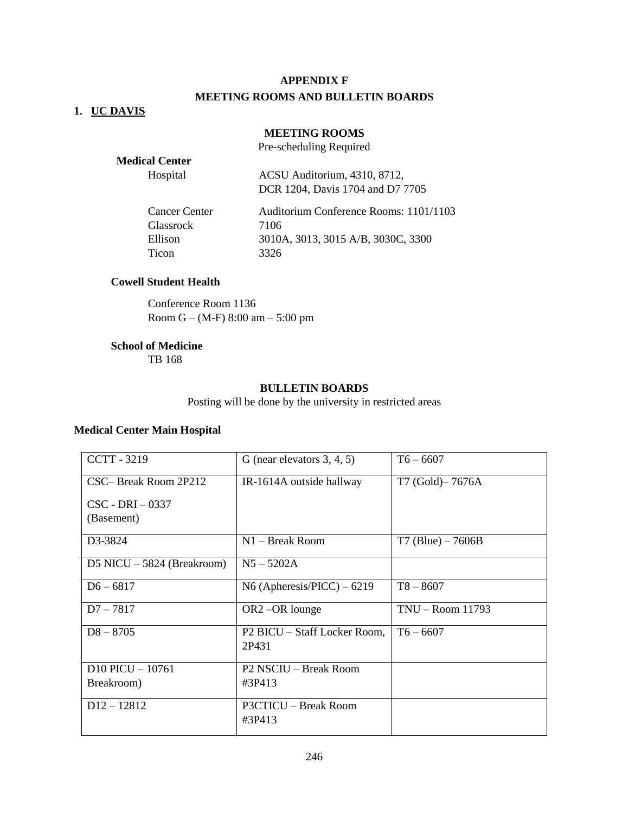### **APPENDIX F**

### **MEETING ROOMS AND BULLETIN BOARDS**

### **1. UC DAVIS**

### **MEETING ROOMS**

Pre-scheduling Required

| <b>Medical Center</b> |                                        |
|-----------------------|----------------------------------------|
| Hospital              | ACSU Auditorium, 4310, 8712,           |
|                       | DCR 1204, Davis 1704 and D7 7705       |
| <b>Cancer Center</b>  | Auditorium Conference Rooms: 1101/1103 |
| <b>Glassrock</b>      | 7106                                   |
| Ellison               | 3010A, 3013, 3015 A/B, 3030C, 3300     |
| Ticon                 | 3326                                   |

#### **Cowell Student Health**

Conference Room 1136 Room G – (M-F) 8:00 am – 5:00 pm

# **School of Medicine**

TB 168

#### **BULLETIN BOARDS**

Posting will be done by the university in restricted areas

#### **Medical Center Main Hospital**

| <b>CCTT - 3219</b>           | G (near elevators $3, 4, 5$ )         | $T6 - 6607$          |
|------------------------------|---------------------------------------|----------------------|
| CSC-Break Room 2P212         | IR-1614A outside hallway              | T7 (Gold)-7676A      |
| $CSC - DRI - 0337$           |                                       |                      |
| (Basement)                   |                                       |                      |
| D3-3824                      | $N1 -$ Break Room                     | $T7$ (Blue) $-7606B$ |
| D5 NICU $-$ 5824 (Breakroom) | $N5 - 5202A$                          |                      |
| $D6 - 6817$                  | N6 (Apheresis/PICC) $-6219$           | $T8 - 8607$          |
| $D7 - 7817$                  | OR2-OR lounge                         | $TNU - Room$ 11793   |
| $D8 - 8705$                  | P2 BICU – Staff Locker Room,<br>2P431 | $T6 - 6607$          |
| $D10$ PICU $-10761$          | P2 NSCIU - Break Room                 |                      |
| Breakroom)                   | #3P413                                |                      |
| $D12 - 12812$                | P3CTICU - Break Room<br>#3P413        |                      |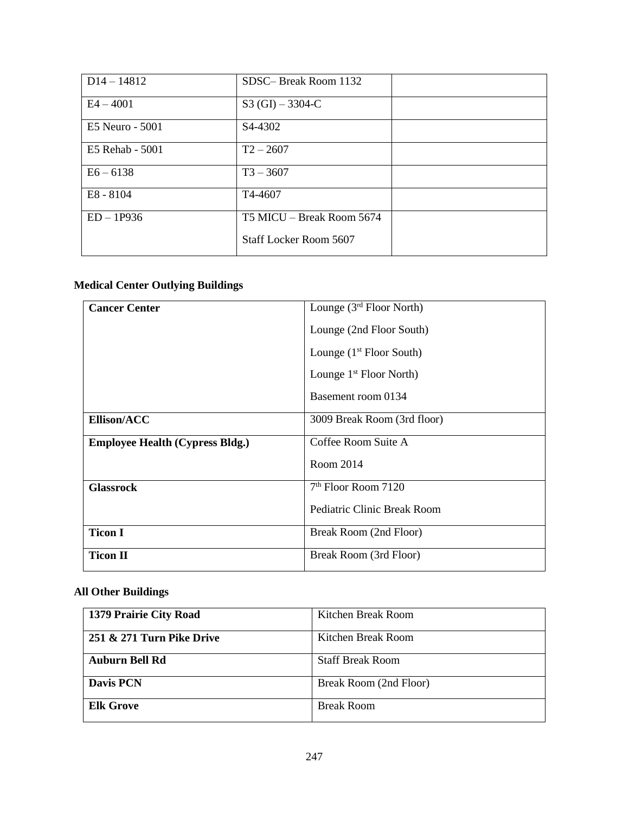| $D14 - 14812$   | SDSC-Break Room 1132          |  |
|-----------------|-------------------------------|--|
| $E4 - 4001$     | $S3(GI) - 3304-C$             |  |
| E5 Neuro - 5001 | S4-4302                       |  |
| E5 Rehab - 5001 | $T2 - 2607$                   |  |
| $E6 - 6138$     | $T3 - 3607$                   |  |
| E8 - 8104       | T4-4607                       |  |
| $ED - 1P936$    | T5 MICU – Break Room 5674     |  |
|                 | <b>Staff Locker Room 5607</b> |  |

## **Medical Center Outlying Buildings**

| <b>Cancer Center</b>                   | Lounge $(3rd$ Floor North)  |
|----------------------------------------|-----------------------------|
|                                        | Lounge (2nd Floor South)    |
|                                        | Lounge $(1st Floor South)$  |
|                                        | Lounge $1st$ Floor North)   |
|                                        | Basement room 0134          |
| Ellison/ACC                            | 3009 Break Room (3rd floor) |
| <b>Employee Health (Cypress Bldg.)</b> | Coffee Room Suite A         |
|                                        | Room 2014                   |
| <b>Glassrock</b>                       | $7th$ Floor Room 7120       |
|                                        | Pediatric Clinic Break Room |
| <b>Ticon I</b>                         | Break Room (2nd Floor)      |
| <b>Ticon II</b>                        | Break Room (3rd Floor)      |

## **All Other Buildings**

| 1379 Prairie City Road    | Kitchen Break Room      |
|---------------------------|-------------------------|
| 251 & 271 Turn Pike Drive | Kitchen Break Room      |
| <b>Auburn Bell Rd</b>     | <b>Staff Break Room</b> |
| <b>Davis PCN</b>          | Break Room (2nd Floor)  |
| <b>Elk Grove</b>          | <b>Break Room</b>       |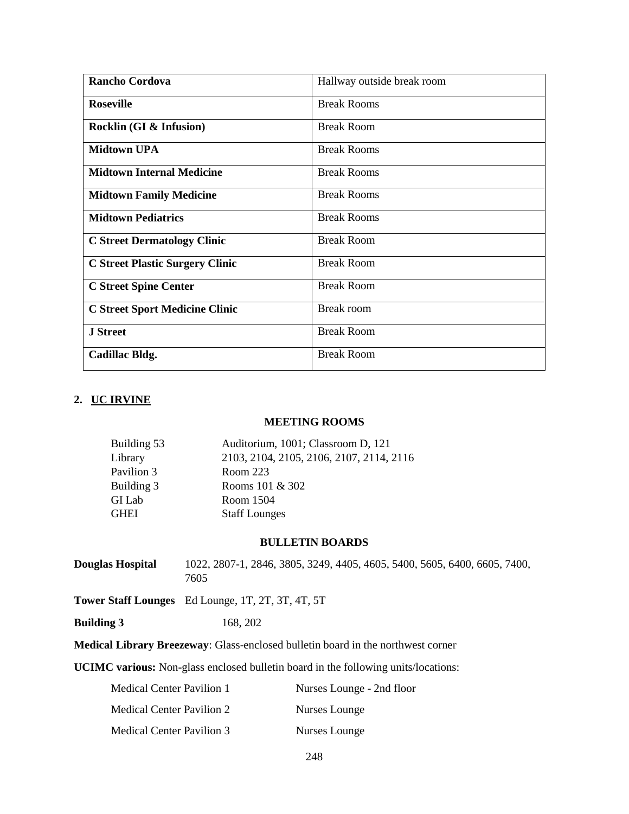| <b>Rancho Cordova</b>                  | Hallway outside break room |
|----------------------------------------|----------------------------|
| <b>Roseville</b>                       | <b>Break Rooms</b>         |
| Rocklin (GI & Infusion)                | <b>Break Room</b>          |
| <b>Midtown UPA</b>                     | <b>Break Rooms</b>         |
| <b>Midtown Internal Medicine</b>       | <b>Break Rooms</b>         |
| <b>Midtown Family Medicine</b>         | <b>Break Rooms</b>         |
| <b>Midtown Pediatrics</b>              | <b>Break Rooms</b>         |
| <b>C Street Dermatology Clinic</b>     | <b>Break Room</b>          |
| <b>C Street Plastic Surgery Clinic</b> | <b>Break Room</b>          |
| <b>C Street Spine Center</b>           | <b>Break Room</b>          |
| <b>C Street Sport Medicine Clinic</b>  | Break room                 |
| <b>J</b> Street                        | <b>Break Room</b>          |
| Cadillac Bldg.                         | <b>Break Room</b>          |

#### **2. UC IRVINE**

#### **MEETING ROOMS**

| Auditorium, 1001; Classroom D, 121       |
|------------------------------------------|
| 2103, 2104, 2105, 2106, 2107, 2114, 2116 |
| Room 223                                 |
| Rooms 101 & 302                          |
| Room 1504                                |
| <b>Staff Lounges</b>                     |
|                                          |

#### **BULLETIN BOARDS**

**Douglas Hospital** 1022, 2807-1, 2846, 3805, 3249, 4405, 4605, 5400, 5605, 6400, 6605, 7400, 7605

**Tower Staff Lounges** Ed Lounge, 1T, 2T, 3T, 4T, 5T

**Building 3** 168, 202

**Medical Library Breezeway**: Glass-enclosed bulletin board in the northwest corner

**UCIMC various:** Non-glass enclosed bulletin board in the following units/locations:

| Medical Center Pavilion 1 | Nurses Lounge - 2nd floor |
|---------------------------|---------------------------|
| Medical Center Pavilion 2 | Nurses Lounge             |
| Medical Center Pavilion 3 | Nurses Lounge             |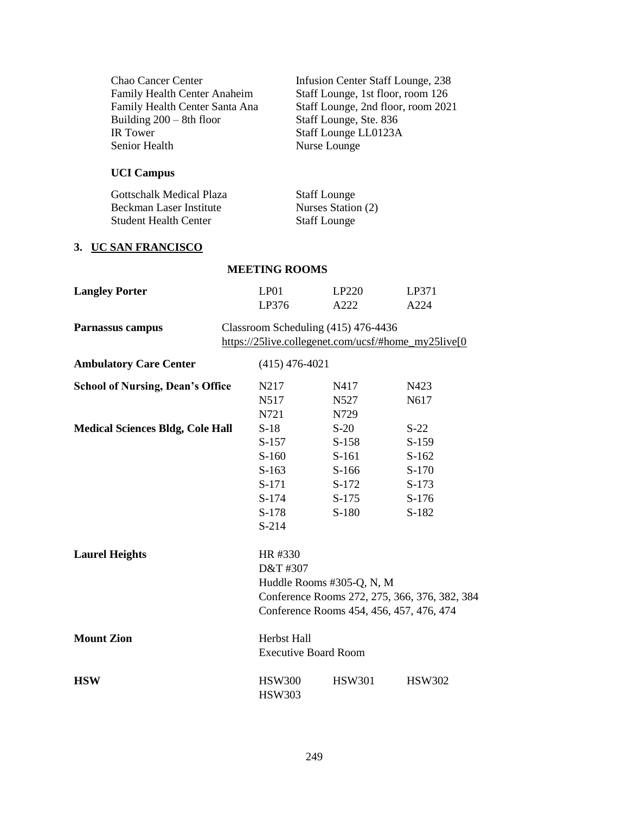| Chao Cancer Center<br>Family Health Center Anaheim<br>Family Health Center Santa Ana<br>Building $200 - 8$ th floor<br><b>IR</b> Tower<br><b>Senior Health</b> |                                                                                              | Infusion Center Staff Lounge, 238<br>Staff Lounge, 1st floor, room 126<br>Staff Lounge, 2nd floor, room 2021<br>Staff Lounge, Ste. 836<br>Staff Lounge LL0123A<br>Nurse Lounge |                                                                        |
|----------------------------------------------------------------------------------------------------------------------------------------------------------------|----------------------------------------------------------------------------------------------|--------------------------------------------------------------------------------------------------------------------------------------------------------------------------------|------------------------------------------------------------------------|
| <b>UCI Campus</b>                                                                                                                                              |                                                                                              |                                                                                                                                                                                |                                                                        |
| <b>Gottschalk Medical Plaza</b><br><b>Beckman Laser Institute</b><br><b>Student Health Center</b>                                                              |                                                                                              | <b>Staff Lounge</b><br>Nurses Station (2)<br><b>Staff Lounge</b>                                                                                                               |                                                                        |
| 3. UC SAN FRANCISCO                                                                                                                                            |                                                                                              |                                                                                                                                                                                |                                                                        |
|                                                                                                                                                                | <b>MEETING ROOMS</b>                                                                         |                                                                                                                                                                                |                                                                        |
| <b>Langley Porter</b>                                                                                                                                          | LP01<br>LP376                                                                                | LP220<br>A222                                                                                                                                                                  | LP371<br>A224                                                          |
| Parnassus campus                                                                                                                                               |                                                                                              | Classroom Scheduling (415) 476-4436                                                                                                                                            | https://25live.collegenet.com/ucsf/#home_my25live[0]                   |
| <b>Ambulatory Care Center</b>                                                                                                                                  | $(415)$ 476-4021                                                                             |                                                                                                                                                                                |                                                                        |
| <b>School of Nursing, Dean's Office</b>                                                                                                                        | N217<br>N517<br>N721                                                                         | N417<br>N527<br>N729                                                                                                                                                           | N423<br>N617                                                           |
| <b>Medical Sciences Bldg, Cole Hall</b><br><b>Laurel Heights</b>                                                                                               | $S-18$<br>$S-157$<br>$S-160$<br>$S-163$<br>$S-171$<br>S-174<br>$S-178$<br>$S-214$<br>HR #330 | $S-20$<br>$S-158$<br>$S-161$<br>$S-166$<br>$S-172$<br>$S-175$<br>$S-180$                                                                                                       | $S-22$<br>$S-159$<br>$S-162$<br>S-170<br>$S-173$<br>$S-176$<br>$S-182$ |
|                                                                                                                                                                | D&T #307                                                                                     | Huddle Rooms #305-Q, N, M<br>Conference Rooms 454, 456, 457, 476, 474                                                                                                          | Conference Rooms 272, 275, 366, 376, 382, 384                          |
| <b>Mount Zion</b>                                                                                                                                              | Herbst Hall<br><b>Executive Board Room</b>                                                   |                                                                                                                                                                                |                                                                        |
| <b>HSW</b>                                                                                                                                                     | <b>HSW300</b><br><b>HSW303</b>                                                               | <b>HSW301</b>                                                                                                                                                                  | <b>HSW302</b>                                                          |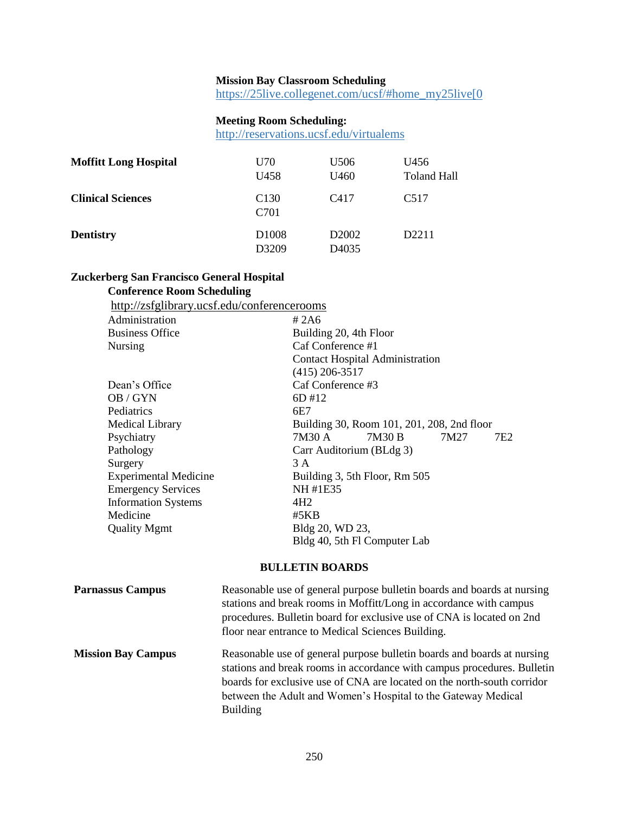## **Mission Bay Classroom Scheduling**

https://[25live.collegenet.com/ucsf/#home\\_my25live\[0](https://25live.collegenet.com/ucsf/#home_my25live[0)

## **Meeting Room Scheduling:**

http://r[eservations.ucsf.edu/virtualems](http://reservations.ucsf.edu/virtualems)

| <b>Moffitt Long Hospital</b> | U70<br>U <sub>458</sub>    | U <sub>506</sub><br>U <sub>460</sub>   | U456<br>Toland Hall |
|------------------------------|----------------------------|----------------------------------------|---------------------|
| <b>Clinical Sciences</b>     | C <sub>130</sub><br>C701   | C <sub>417</sub>                       | C <sub>5</sub> 17   |
| <b>Dentistry</b>             | D <sub>1008</sub><br>D3209 | D <sub>2002</sub><br>D <sub>4035</sub> | D <sub>2211</sub>   |

## **Zuckerberg San Francisco General Hospital**

## **Conference Room Scheduling**

| http://zsfglibrary.ucsf.edu/conferencerooms |                                            |
|---------------------------------------------|--------------------------------------------|
| Administration                              | #2A6                                       |
| <b>Business Office</b>                      | Building 20, 4th Floor                     |
| <b>Nursing</b>                              | Caf Conference #1                          |
|                                             | <b>Contact Hospital Administration</b>     |
|                                             | $(415)$ 206-3517                           |
| Dean's Office                               | Caf Conference #3                          |
| OB / GYN                                    | 6D #12                                     |
| Pediatrics                                  | 6E7                                        |
| <b>Medical Library</b>                      | Building 30, Room 101, 201, 208, 2nd floor |
| Psychiatry                                  | 7M30 A<br>7M30 B<br>7M27<br>7E2            |
| Pathology                                   | Carr Auditorium (BLdg 3)                   |
| Surgery                                     | 3 A                                        |
| <b>Experimental Medicine</b>                | Building 3, 5th Floor, Rm 505              |
| <b>Emergency Services</b>                   | NH #1E35                                   |
| <b>Information Systems</b>                  | 4H <sub>2</sub>                            |
| Medicine                                    | #5KB                                       |
| <b>Quality Mgmt</b>                         | Bldg 20, WD 23,                            |
|                                             | Bldg 40, 5th Fl Computer Lab               |
|                                             |                                            |

### **BULLETIN BOARDS**

| <b>Parnassus Campus</b>   | Reasonable use of general purpose bulletin boards and boards at nursing<br>stations and break rooms in Moffitt/Long in accordance with campus<br>procedures. Bulletin board for exclusive use of CNA is located on 2nd<br>floor near entrance to Medical Sciences Building.                                       |
|---------------------------|-------------------------------------------------------------------------------------------------------------------------------------------------------------------------------------------------------------------------------------------------------------------------------------------------------------------|
| <b>Mission Bay Campus</b> | Reasonable use of general purpose bulletin boards and boards at nursing<br>stations and break rooms in accordance with campus procedures. Bulletin<br>boards for exclusive use of CNA are located on the north-south corridor<br>between the Adult and Women's Hospital to the Gateway Medical<br><b>Building</b> |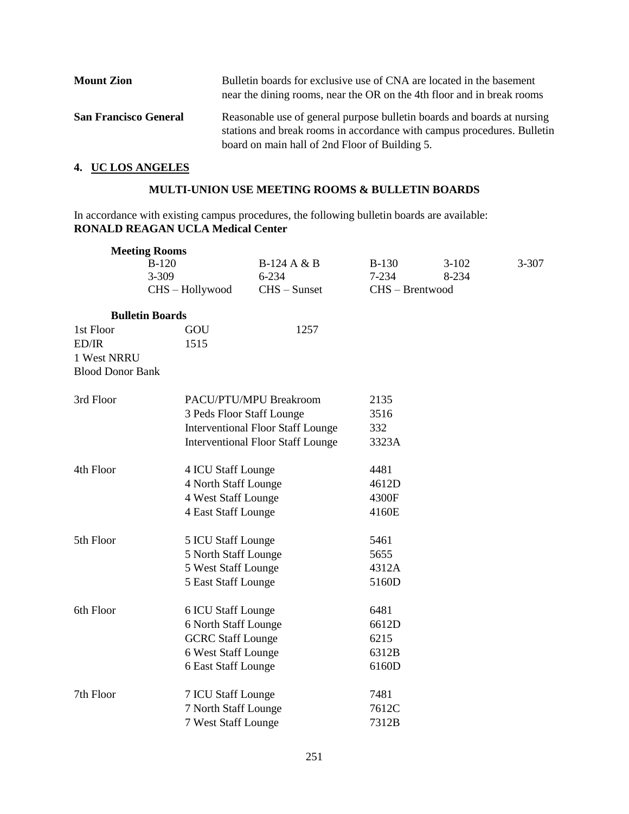| <b>Mount Zion</b>            | Bulletin boards for exclusive use of CNA are located in the basement<br>near the dining rooms, near the OR on the 4th floor and in break rooms     |
|------------------------------|----------------------------------------------------------------------------------------------------------------------------------------------------|
| <b>San Francisco General</b> | Reasonable use of general purpose bulletin boards and boards at nursing<br>stations and break rooms in accordance with campus procedures. Bulletin |
|                              | board on main hall of 2nd Floor of Building 5.                                                                                                     |

## **4. UC LOS ANGELES**

### **MULTI-UNION USE MEETING ROOMS & BULLETIN BOARDS**

In accordance with existing campus procedures, the following bulletin boards are available: **RONALD REAGAN UCLA Medical Center**

|                         | <b>Meeting Rooms</b>   |                                            |                      |                  |       |
|-------------------------|------------------------|--------------------------------------------|----------------------|------------------|-------|
| $B-120$                 |                        | B-124 A & B<br>$6 - 234$                   | $B-130$<br>$7 - 234$ | $3-102$<br>8-234 | 3-307 |
|                         | 3-309<br>CHS-Hollywood | $CHS - S$ unset                            | CHS - Brentwood      |                  |       |
|                         |                        |                                            |                      |                  |       |
|                         | <b>Bulletin Boards</b> |                                            |                      |                  |       |
| 1st Floor               | GOU                    | 1257                                       |                      |                  |       |
| ED/IR                   | 1515                   |                                            |                      |                  |       |
| 1 West NRRU             |                        |                                            |                      |                  |       |
| <b>Blood Donor Bank</b> |                        |                                            |                      |                  |       |
| 3rd Floor               |                        | PACU/PTU/MPU Breakroom                     | 2135                 |                  |       |
|                         |                        | 3 Peds Floor Staff Lounge                  |                      |                  |       |
|                         |                        | <b>Interventional Floor Staff Lounge</b>   |                      |                  |       |
|                         |                        | <b>Interventional Floor Staff Lounge</b>   |                      |                  |       |
| 4th Floor               | 4 ICU Staff Lounge     |                                            | 4481                 |                  |       |
|                         |                        | 4 North Staff Lounge                       |                      |                  |       |
|                         |                        | 4 West Staff Lounge                        |                      |                  |       |
|                         |                        | 4 East Staff Lounge                        |                      |                  |       |
|                         |                        |                                            | 5461                 |                  |       |
| 5th Floor               |                        | 5 ICU Staff Lounge                         |                      |                  |       |
|                         |                        | 5 North Staff Lounge                       |                      |                  |       |
|                         |                        | 5 West Staff Lounge                        |                      |                  |       |
|                         | 5 East Staff Lounge    |                                            | 5160D                |                  |       |
| 6th Floor               | 6 ICU Staff Lounge     |                                            | 6481                 |                  |       |
|                         |                        | 6 North Staff Lounge                       |                      |                  |       |
|                         |                        | <b>GCRC</b> Staff Lounge                   |                      |                  |       |
|                         |                        | 6 West Staff Lounge                        |                      |                  |       |
|                         | 6 East Staff Lounge    |                                            | 6160D                |                  |       |
| 7th Floor               |                        |                                            | 7481                 |                  |       |
|                         |                        | 7 ICU Staff Lounge<br>7 North Staff Lounge |                      |                  |       |
|                         | 7 West Staff Lounge    |                                            | 7612C<br>7312B       |                  |       |
|                         |                        |                                            |                      |                  |       |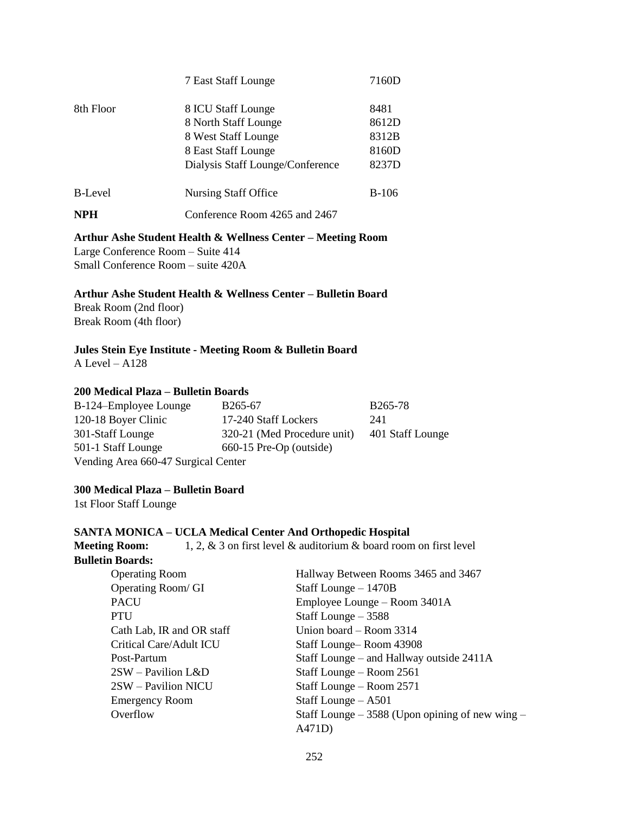|                | 7 East Staff Lounge              | 7160D        |
|----------------|----------------------------------|--------------|
| 8th Floor      | 8 ICU Staff Lounge               | 8481         |
|                | 8 North Staff Lounge             | 8612D        |
|                | 8 West Staff Lounge              | 8312B        |
|                | 8 East Staff Lounge              | 8160D        |
|                | Dialysis Staff Lounge/Conference | 8237D        |
| <b>B-Level</b> | Nursing Staff Office             | <b>B-106</b> |
| <b>NPH</b>     | Conference Room 4265 and 2467    |              |
|                |                                  |              |

**Arthur Ashe Student Health & Wellness Center – Meeting Room** Large Conference Room – Suite 414 Small Conference Room – suite 420A

**Arthur Ashe Student Health & Wellness Center – Bulletin Board**

Break Room (2nd floor) Break Room (4th floor)

## **Jules Stein Eye Institute - Meeting Room & Bulletin Board**

A Level – A128

#### **200 Medical Plaza – Bulletin Boards**

| B-124–Employee Lounge               | B <sub>265</sub> -67        | <b>B265-78</b>   |
|-------------------------------------|-----------------------------|------------------|
| 120-18 Boyer Clinic                 | 17-240 Staff Lockers        | 241              |
| 301-Staff Lounge                    | 320-21 (Med Procedure unit) | 401 Staff Lounge |
| 501-1 Staff Lounge                  | 660-15 Pre-Op (outside)     |                  |
| Vending Area 660-47 Surgical Center |                             |                  |

#### **300 Medical Plaza – Bulletin Board**

1st Floor Staff Lounge

#### **SANTA MONICA – UCLA Medical Center And Orthopedic Hospital**

**Meeting Room:** 1, 2, & 3 on first level & auditorium & board room on first level **Bulletin Boards:**

| <b>Operating Room</b>       | Hallway Between Rooms 3465 and 3467                |
|-----------------------------|----------------------------------------------------|
| Operating Room/ GI          | Staff Lounge – 1470B                               |
| <b>PACU</b>                 | Employee Lounge – Room 3401A                       |
| PTU                         | Staff Lounge $-3588$                               |
| Cath Lab, IR and OR staff   | Union board – Room 3314                            |
| Critical Care/Adult ICU     | Staff Lounge-Room 43908                            |
| Post-Partum                 | Staff Lounge – and Hallway outside 2411A           |
| $2SW - \text{Pavilion L&D}$ | Staff Lounge - Room 2561                           |
| 2SW – Pavilion NICU         | Staff Lounge – Room 2571                           |
| <b>Emergency Room</b>       | Staff Lounge $- A501$                              |
| Overflow                    | Staff Lounge $-3588$ (Upon opining of new wing $-$ |
|                             | A471D)                                             |
|                             |                                                    |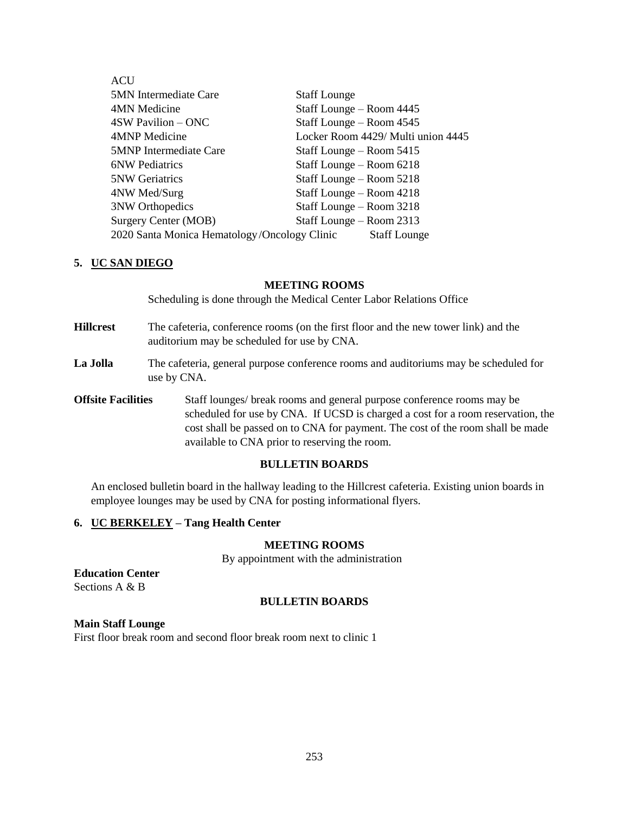| ACU                                          |                                    |
|----------------------------------------------|------------------------------------|
| <b>5MN</b> Intermediate Care                 | <b>Staff Lounge</b>                |
| 4MN Medicine                                 | Staff Lounge - Room 4445           |
| 4SW Pavilion – ONC                           | Staff Lounge – Room 4545           |
| 4MNP Medicine                                | Locker Room 4429/ Multi union 4445 |
| <b>5MNP</b> Intermediate Care                | Staff Lounge – Room 5415           |
| <b>6NW Pediatrics</b>                        | Staff Lounge - Room 6218           |
| <b>5NW Geriatrics</b>                        | Staff Lounge - Room 5218           |
| 4NW Med/Surg                                 | Staff Lounge – Room 4218           |
| <b>3NW Orthopedics</b>                       | Staff Lounge – Room 3218           |
| Surgery Center (MOB)                         | Staff Lounge – Room 2313           |
| 2020 Santa Monica Hematology/Oncology Clinic | <b>Staff Lounge</b>                |

### **5. UC SAN DIEGO**

#### **MEETING ROOMS**

Scheduling is done through the Medical Center Labor Relations Office

- **Hillcrest** The cafeteria, conference rooms (on the first floor and the new tower link) and the auditorium may be scheduled for use by CNA.
- **La Jolla** The cafeteria, general purpose conference rooms and auditoriums may be scheduled for use by CNA.
- **Offsite Facilities** Staff lounges/ break rooms and general purpose conference rooms may be scheduled for use by CNA. If UCSD is charged a cost for a room reservation, the cost shall be passed on to CNA for payment. The cost of the room shall be made available to CNA prior to reserving the room.

#### **BULLETIN BOARDS**

An enclosed bulletin board in the hallway leading to the Hillcrest cafeteria. Existing union boards in employee lounges may be used by CNA for posting informational flyers.

### **6. UC BERKELEY – Tang Health Center**

#### **MEETING ROOMS**

By appointment with the administration

## **Education Center**

Sections A & B

### **BULLETIN BOARDS**

### **Main Staff Lounge**

First floor break room and second floor break room next to clinic 1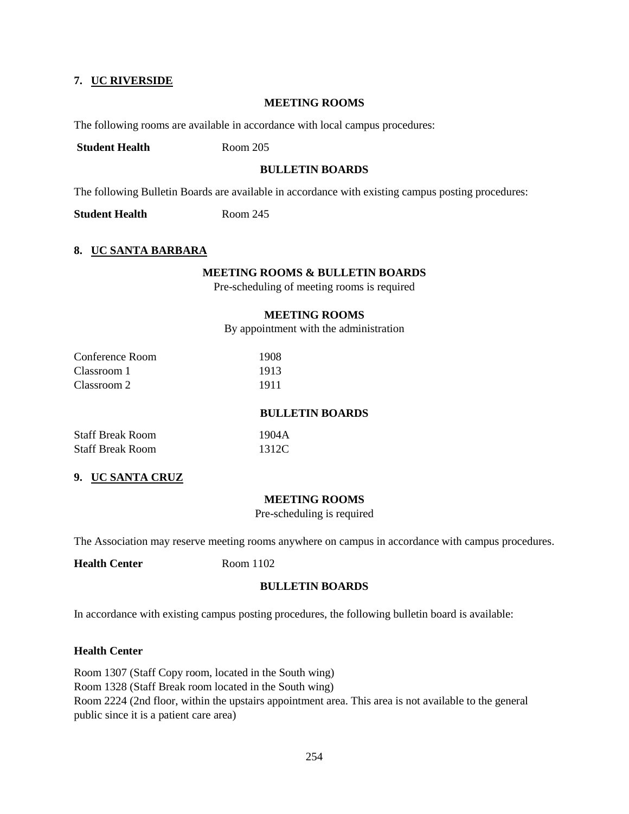### **7. UC RIVERSIDE**

#### **MEETING ROOMS**

The following rooms are available in accordance with local campus procedures:

**Student Health** Room 205

### **BULLETIN BOARDS**

The following Bulletin Boards are available in accordance with existing campus posting procedures:

**Student Health** Room 245

#### **8. UC SANTA BARBARA**

#### **MEETING ROOMS & BULLETIN BOARDS**

Pre-scheduling of meeting rooms is required

#### **MEETING ROOMS**

By appointment with the administration

| Conference Room | 1908 |
|-----------------|------|
| Classroom 1     | 1913 |
| Classroom 2     | 1911 |

#### **BULLETIN BOARDS**

Staff Break Room 1904A Staff Break Room 1312C

### **9. UC SANTA CRUZ**

#### **MEETING ROOMS**

Pre-scheduling is required

The Association may reserve meeting rooms anywhere on campus in accordance with campus procedures.

**Health Center** Room 1102

#### **BULLETIN BOARDS**

In accordance with existing campus posting procedures, the following bulletin board is available:

#### **Health Center**

Room 1307 (Staff Copy room, located in the South wing) Room 1328 (Staff Break room located in the South wing) Room 2224 (2nd floor, within the upstairs appointment area. This area is not available to the general public since it is a patient care area)